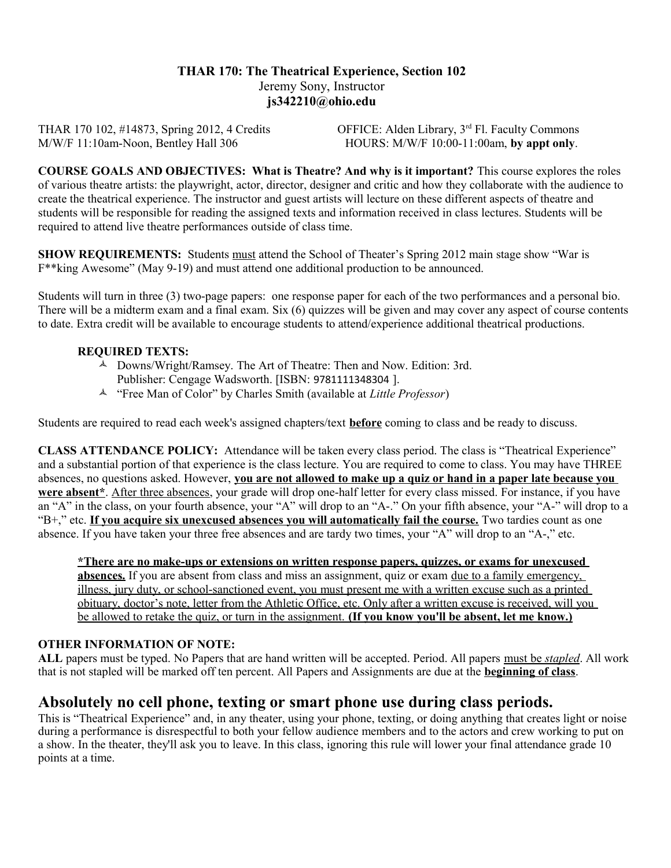# **THAR 170: The Theatrical Experience, Section 102** Jeremy Sony, Instructor **js342210@ohio.edu**

THAR 170 102, #14873, Spring 2012, 4 Credits OFFICE: Alden Library, 3<sup>rd</sup> Fl. Faculty Commons M/W/F 11:10am-Noon, Bentley Hall 306 HOURS: M/W/F 10:00-11:00am, by appt only.

**COURSE GOALS AND OBJECTIVES: What is Theatre? And why is it important?** This course explores the roles of various theatre artists: the playwright, actor, director, designer and critic and how they collaborate with the audience to create the theatrical experience. The instructor and guest artists will lecture on these different aspects of theatre and students will be responsible for reading the assigned texts and information received in class lectures. Students will be required to attend live theatre performances outside of class time.

**SHOW REQUIREMENTS:** Students must attend the School of Theater's Spring 2012 main stage show "War is F\*\*king Awesome" (May 9-19) and must attend one additional production to be announced.

Students will turn in three (3) two-page papers: one response paper for each of the two performances and a personal bio. There will be a midterm exam and a final exam. Six (6) quizzes will be given and may cover any aspect of course contents to date. Extra credit will be available to encourage students to attend/experience additional theatrical productions.

## **REQUIRED TEXTS:**

- Downs/Wright/Ramsey. The Art of Theatre: Then and Now. Edition: 3rd.
	- Publisher: Cengage Wadsworth. [ISBN: 9781111348304 ].
- "Free Man of Color" by Charles Smith (available at *Little Professor*)

Students are required to read each week's assigned chapters/text **before** coming to class and be ready to discuss.

**CLASS ATTENDANCE POLICY:** Attendance will be taken every class period. The class is "Theatrical Experience" and a substantial portion of that experience is the class lecture. You are required to come to class. You may have THREE absences, no questions asked. However, **you are not allowed to make up a quiz or hand in a paper late because you were absent<sup>\*</sup>**. After three absences, your grade will drop one-half letter for every class missed. For instance, if you have an "A" in the class, on your fourth absence, your "A" will drop to an "A-." On your fifth absence, your "A-" will drop to a "B+," etc. **If you acquire six unexcused absences you will automatically fail the course.** Two tardies count as one absence. If you have taken your three free absences and are tardy two times, your "A" will drop to an "A-," etc.

**\*There are no make-ups or extensions on written response papers, quizzes, or exams for unexcused absences.** If you are absent from class and miss an assignment, quiz or exam due to a family emergency, illness, jury duty, or school-sanctioned event, you must present me with a written excuse such as a printed obituary, doctor's note, letter from the Athletic Office, etc. Only after a written excuse is received, will you be allowed to retake the quiz, or turn in the assignment. **(If you know you'll be absent, let me know.)**

## **OTHER INFORMATION OF NOTE:**

**ALL** papers must be typed. No Papers that are hand written will be accepted. Period. All papers must be *stapled*. All work that is not stapled will be marked off ten percent. All Papers and Assignments are due at the **beginning of class**.

# **Absolutely no cell phone, texting or smart phone use during class periods.**

This is "Theatrical Experience" and, in any theater, using your phone, texting, or doing anything that creates light or noise during a performance is disrespectful to both your fellow audience members and to the actors and crew working to put on a show. In the theater, they'll ask you to leave. In this class, ignoring this rule will lower your final attendance grade 10 points at a time.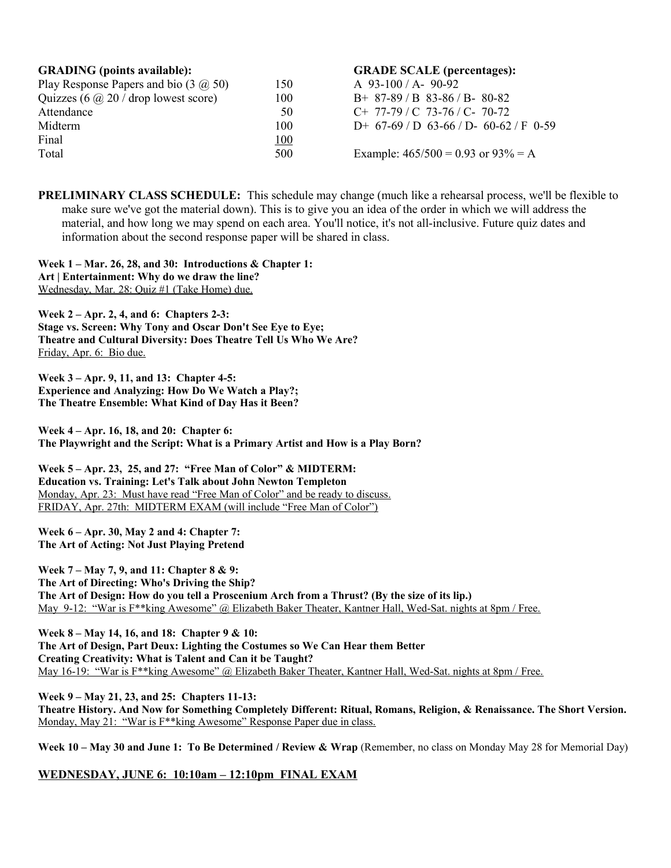|            | <b>GRADE SCALE</b> (percentages):            |
|------------|----------------------------------------------|
| 150        | A $93-100/A - 90-92$                         |
| 100        | $B+87-89/B83-86/B-80-82$                     |
| 50         | $C+ 77-79$ / C 73-76 / C- 70-72              |
| 100        | D+ $67-69$ / D $63-66$ / D- $60-62$ / F 0-59 |
| <u>100</u> |                                              |
| 500        | Example: $465/500 = 0.93$ or $93\% = A$      |
|            |                                              |

**PRELIMINARY CLASS SCHEDULE:** This schedule may change (much like a rehearsal process, we'll be flexible to make sure we've got the material down). This is to give you an idea of the order in which we will address the material, and how long we may spend on each area. You'll notice, it's not all-inclusive. Future quiz dates and information about the second response paper will be shared in class.

**Week 1 – Mar. 26, 28, and 30: Introductions & Chapter 1: Art | Entertainment: Why do we draw the line?**  Wednesday, Mar. 28: Quiz #1 (Take Home) due.

**Week 2 – Apr. 2, 4, and 6: Chapters 2-3: Stage vs. Screen: Why Tony and Oscar Don't See Eye to Eye; Theatre and Cultural Diversity: Does Theatre Tell Us Who We Are?** Friday, Apr. 6: Bio due.

**Week 3 – Apr. 9, 11, and 13: Chapter 4-5: Experience and Analyzing: How Do We Watch a Play?; The Theatre Ensemble: What Kind of Day Has it Been?**

**Week 4 – Apr. 16, 18, and 20: Chapter 6: The Playwright and the Script: What is a Primary Artist and How is a Play Born?**

**Week 5 – Apr. 23, 25, and 27: "Free Man of Color" & MIDTERM: Education vs. Training: Let's Talk about John Newton Templeton** Monday, Apr. 23: Must have read "Free Man of Color" and be ready to discuss. FRIDAY, Apr. 27th: MIDTERM EXAM (will include "Free Man of Color")

**Week 6 – Apr. 30, May 2 and 4: Chapter 7: The Art of Acting: Not Just Playing Pretend** 

**Week 7 – May 7, 9, and 11: Chapter 8 & 9: The Art of Directing: Who's Driving the Ship? The Art of Design: How do you tell a Proscenium Arch from a Thrust? (By the size of its lip.)** May 9-12: "War is F<sup>\*\*</sup>king Awesome" @ Elizabeth Baker Theater, Kantner Hall, Wed-Sat. nights at 8pm / Free.

**Week 8 – May 14, 16, and 18: Chapter 9 & 10: The Art of Design, Part Deux: Lighting the Costumes so We Can Hear them Better Creating Creativity: What is Talent and Can it be Taught?** May 16-19: "War is F\*\*king Awesome" @ Elizabeth Baker Theater, Kantner Hall, Wed-Sat. nights at 8pm / Free.

**Week 9 – May 21, 23, and 25: Chapters 11-13: Theatre History. And Now for Something Completely Different: Ritual, Romans, Religion, & Renaissance. The Short Version.** Monday, May 21: "War is F\*\*king Awesome" Response Paper due in class.

Week 10 – May 30 and June 1: To Be Determined / Review & Wrap (Remember, no class on Monday May 28 for Memorial Day)

**WEDNESDAY, JUNE 6: 10:10am – 12:10pm FINAL EXAM**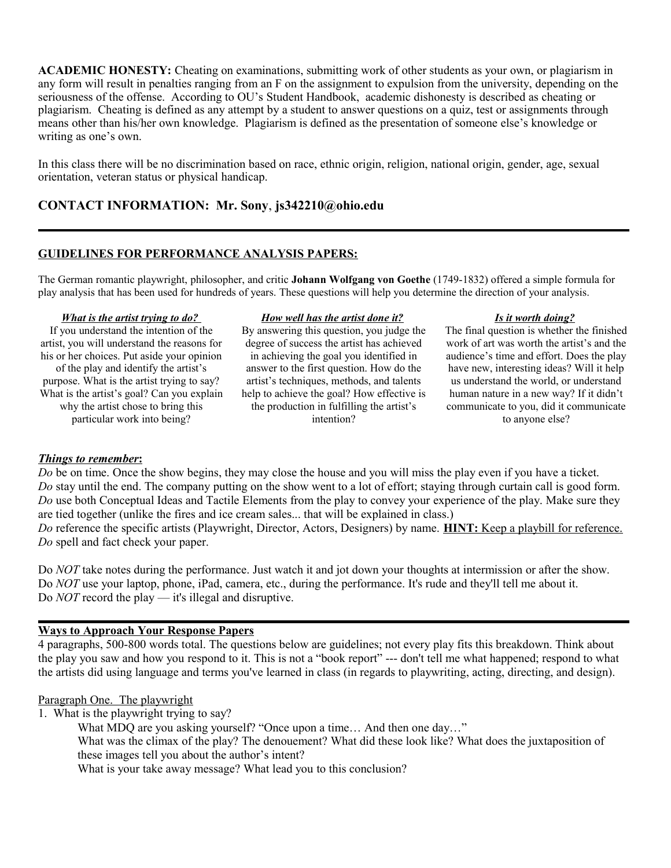**ACADEMIC HONESTY:** Cheating on examinations, submitting work of other students as your own, or plagiarism in any form will result in penalties ranging from an F on the assignment to expulsion from the university, depending on the seriousness of the offense. According to OU's Student Handbook, academic dishonesty is described as cheating or plagiarism. Cheating is defined as any attempt by a student to answer questions on a quiz, test or assignments through means other than his/her own knowledge. Plagiarism is defined as the presentation of someone else's knowledge or writing as one's own.

In this class there will be no discrimination based on race, ethnic origin, religion, national origin, gender, age, sexual orientation, veteran status or physical handicap.

## **CONTACT INFORMATION: Mr. Sony**, **js342210@ohio.edu**

## **GUIDELINES FOR PERFORMANCE ANALYSIS PAPERS:**

The German romantic playwright, philosopher, and critic **Johann Wolfgang von Goethe** (1749-1832) offered a simple formula for play analysis that has been used for hundreds of years. These questions will help you determine the direction of your analysis.

#### *What is the artist trying to do?*

If you understand the intention of the artist, you will understand the reasons for his or her choices. Put aside your opinion of the play and identify the artist's purpose. What is the artist trying to say? What is the artist's goal? Can you explain why the artist chose to bring this particular work into being?

#### *How well has the artist done it?*

By answering this question, you judge the degree of success the artist has achieved in achieving the goal you identified in answer to the first question. How do the artist's techniques, methods, and talents help to achieve the goal? How effective is the production in fulfilling the artist's intention?

#### *Is it worth doing?*

The final question is whether the finished work of art was worth the artist's and the audience's time and effort. Does the play have new, interesting ideas? Will it help us understand the world, or understand human nature in a new way? If it didn't communicate to you, did it communicate to anyone else?

### *Things to remember* **:**

*Do* be on time. Once the show begins, they may close the house and you will miss the play even if you have a ticket. *Do* stay until the end. The company putting on the show went to a lot of effort; staying through curtain call is good form. *Do* use both Conceptual Ideas and Tactile Elements from the play to convey your experience of the play. Make sure they are tied together (unlike the fires and ice cream sales... that will be explained in class.)

*Do* reference the specific artists (Playwright, Director, Actors, Designers) by name. **HINT:** Keep a playbill for reference. *Do* spell and fact check your paper.

Do *NOT* take notes during the performance. Just watch it and jot down your thoughts at intermission or after the show. Do *NOT* use your laptop, phone, iPad, camera, etc., during the performance. It's rude and they'll tell me about it. Do *NOT* record the play — it's illegal and disruptive.

### **Ways to Approach Your Response Papers**

4 paragraphs, 500-800 words total. The questions below are guidelines; not every play fits this breakdown. Think about the play you saw and how you respond to it. This is not a "book report" --- don't tell me what happened; respond to what the artists did using language and terms you've learned in class (in regards to playwriting, acting, directing, and design).

### Paragraph One. The playwright

1. What is the playwright trying to say?

What MDQ are you asking yourself? "Once upon a time... And then one day..."

What was the climax of the play? The denouement? What did these look like? What does the juxtaposition of these images tell you about the author's intent?

What is your take away message? What lead you to this conclusion?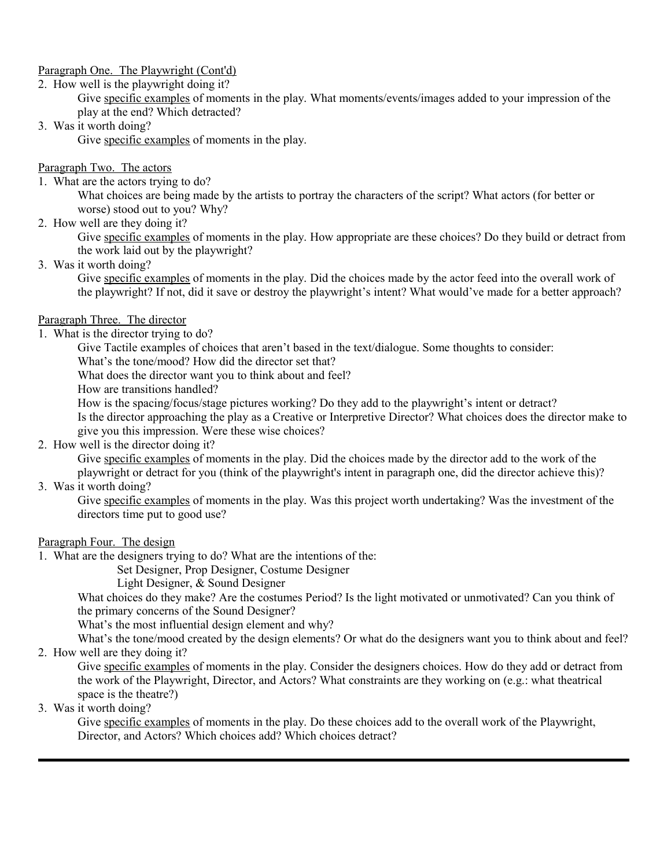## Paragraph One. The Playwright (Cont'd)

#### 2. How well is the playwright doing it?

Give specific examples of moments in the play. What moments/events/images added to your impression of the play at the end? Which detracted?

## 3. Was it worth doing?

Give specific examples of moments in the play.

## Paragraph Two. The actors

1. What are the actors trying to do?

What choices are being made by the artists to portray the characters of the script? What actors (for better or worse) stood out to you? Why?

2. How well are they doing it?

Give specific examples of moments in the play. How appropriate are these choices? Do they build or detract from the work laid out by the playwright?

3. Was it worth doing?

Give specific examples of moments in the play. Did the choices made by the actor feed into the overall work of the playwright? If not, did it save or destroy the playwright's intent? What would've made for a better approach?

## Paragraph Three. The director

1. What is the director trying to do?

Give Tactile examples of choices that aren't based in the text/dialogue. Some thoughts to consider:

What's the tone/mood? How did the director set that?

What does the director want you to think about and feel?

How are transitions handled?

How is the spacing/focus/stage pictures working? Do they add to the playwright's intent or detract?

Is the director approaching the play as a Creative or Interpretive Director? What choices does the director make to give you this impression. Were these wise choices?

2. How well is the director doing it?

Give specific examples of moments in the play. Did the choices made by the director add to the work of the playwright or detract for you (think of the playwright's intent in paragraph one, did the director achieve this)?

## 3. Was it worth doing?

Give specific examples of moments in the play. Was this project worth undertaking? Was the investment of the directors time put to good use?

## Paragraph Four. The design

1. What are the designers trying to do? What are the intentions of the:

Set Designer, Prop Designer, Costume Designer

Light Designer, & Sound Designer

What choices do they make? Are the costumes Period? Is the light motivated or unmotivated? Can you think of the primary concerns of the Sound Designer?

What's the most influential design element and why?

What's the tone/mood created by the design elements? Or what do the designers want you to think about and feel? 2. How well are they doing it?

Give specific examples of moments in the play. Consider the designers choices. How do they add or detract from the work of the Playwright, Director, and Actors? What constraints are they working on (e.g.: what theatrical space is the theatre?)

3. Was it worth doing?

Give specific examples of moments in the play. Do these choices add to the overall work of the Playwright, Director, and Actors? Which choices add? Which choices detract?